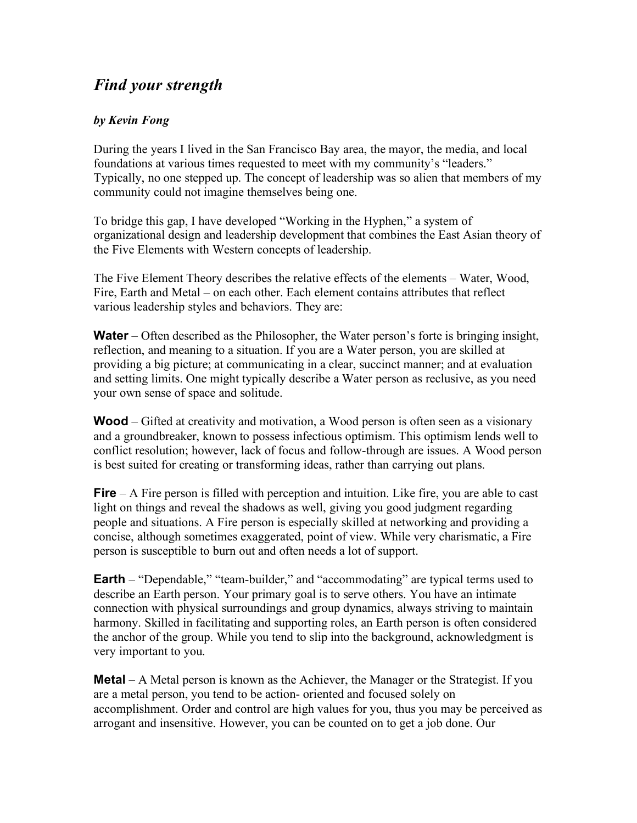## *Find your strength*

## *by Kevin Fong*

During the years I lived in the San Francisco Bay area, the mayor, the media, and local foundations at various times requested to meet with my community's "leaders." Typically, no one stepped up. The concept of leadership was so alien that members of my community could not imagine themselves being one.

To bridge this gap, I have developed "Working in the Hyphen," a system of organizational design and leadership development that combines the East Asian theory of the Five Elements with Western concepts of leadership.

The Five Element Theory describes the relative effects of the elements – Water, Wood, Fire, Earth and Metal – on each other. Each element contains attributes that reflect various leadership styles and behaviors. They are:

**Water** – Often described as the Philosopher, the Water person's forte is bringing insight, reflection, and meaning to a situation. If you are a Water person, you are skilled at providing a big picture; at communicating in a clear, succinct manner; and at evaluation and setting limits. One might typically describe a Water person as reclusive, as you need your own sense of space and solitude.

**Wood** – Gifted at creativity and motivation, a Wood person is often seen as a visionary and a groundbreaker, known to possess infectious optimism. This optimism lends well to conflict resolution; however, lack of focus and follow-through are issues. A Wood person is best suited for creating or transforming ideas, rather than carrying out plans.

**Fire** – A Fire person is filled with perception and intuition. Like fire, you are able to cast light on things and reveal the shadows as well, giving you good judgment regarding people and situations. A Fire person is especially skilled at networking and providing a concise, although sometimes exaggerated, point of view. While very charismatic, a Fire person is susceptible to burn out and often needs a lot of support.

**Earth** – "Dependable," "team-builder," and "accommodating" are typical terms used to describe an Earth person. Your primary goal is to serve others. You have an intimate connection with physical surroundings and group dynamics, always striving to maintain harmony. Skilled in facilitating and supporting roles, an Earth person is often considered the anchor of the group. While you tend to slip into the background, acknowledgment is very important to you.

**Metal** – A Metal person is known as the Achiever, the Manager or the Strategist. If you are a metal person, you tend to be action- oriented and focused solely on accomplishment. Order and control are high values for you, thus you may be perceived as arrogant and insensitive. However, you can be counted on to get a job done. Our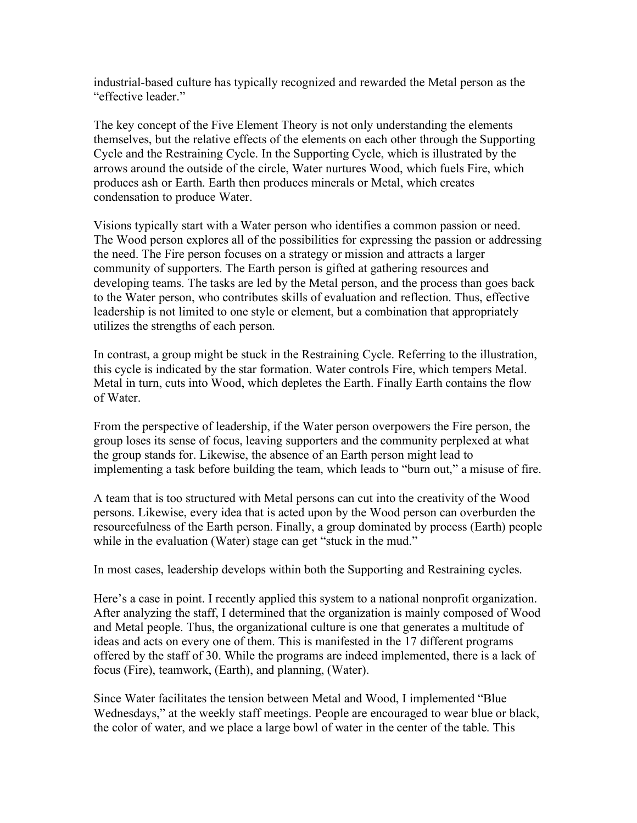industrial-based culture has typically recognized and rewarded the Metal person as the "effective leader."

The key concept of the Five Element Theory is not only understanding the elements themselves, but the relative effects of the elements on each other through the Supporting Cycle and the Restraining Cycle. In the Supporting Cycle, which is illustrated by the arrows around the outside of the circle, Water nurtures Wood, which fuels Fire, which produces ash or Earth. Earth then produces minerals or Metal, which creates condensation to produce Water.

Visions typically start with a Water person who identifies a common passion or need. The Wood person explores all of the possibilities for expressing the passion or addressing the need. The Fire person focuses on a strategy or mission and attracts a larger community of supporters. The Earth person is gifted at gathering resources and developing teams. The tasks are led by the Metal person, and the process than goes back to the Water person, who contributes skills of evaluation and reflection. Thus, effective leadership is not limited to one style or element, but a combination that appropriately utilizes the strengths of each person.

In contrast, a group might be stuck in the Restraining Cycle. Referring to the illustration, this cycle is indicated by the star formation. Water controls Fire, which tempers Metal. Metal in turn, cuts into Wood, which depletes the Earth. Finally Earth contains the flow of Water.

From the perspective of leadership, if the Water person overpowers the Fire person, the group loses its sense of focus, leaving supporters and the community perplexed at what the group stands for. Likewise, the absence of an Earth person might lead to implementing a task before building the team, which leads to "burn out," a misuse of fire.

A team that is too structured with Metal persons can cut into the creativity of the Wood persons. Likewise, every idea that is acted upon by the Wood person can overburden the resourcefulness of the Earth person. Finally, a group dominated by process (Earth) people while in the evaluation (Water) stage can get "stuck in the mud."

In most cases, leadership develops within both the Supporting and Restraining cycles.

Here's a case in point. I recently applied this system to a national nonprofit organization. After analyzing the staff, I determined that the organization is mainly composed of Wood and Metal people. Thus, the organizational culture is one that generates a multitude of ideas and acts on every one of them. This is manifested in the 17 different programs offered by the staff of 30. While the programs are indeed implemented, there is a lack of focus (Fire), teamwork, (Earth), and planning, (Water).

Since Water facilitates the tension between Metal and Wood, I implemented "Blue Wednesdays," at the weekly staff meetings. People are encouraged to wear blue or black, the color of water, and we place a large bowl of water in the center of the table. This